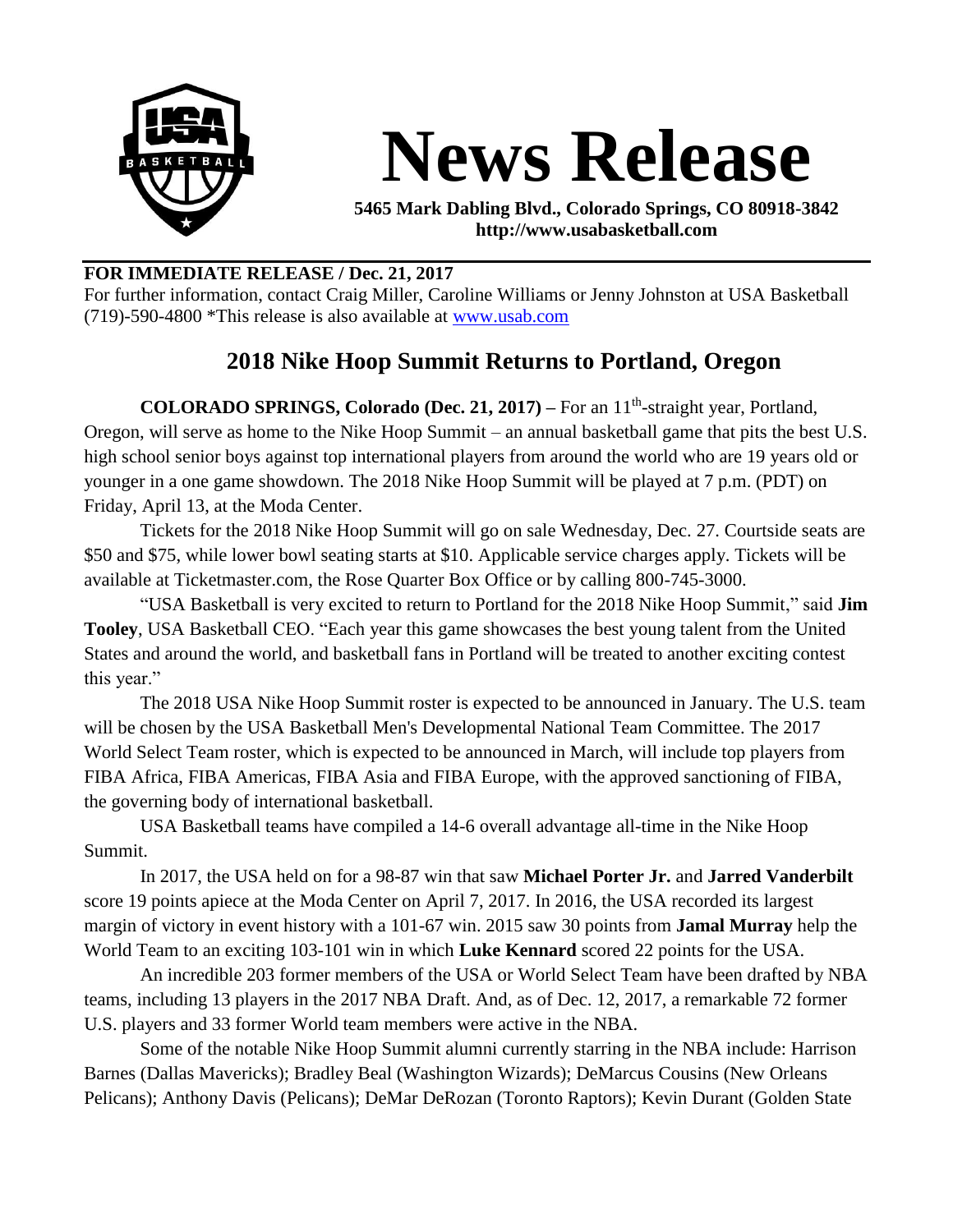

## **News Release**

**5465 Mark Dabling Blvd., Colorado Springs, CO 80918-3842 http://www.usabasketball.com**

## **FOR IMMEDIATE RELEASE / Dec. 21, 2017**

For further information, contact Craig Miller, Caroline Williams or Jenny Johnston at USA Basketball (719)-590-4800 \*This release is also available at [www.usab.com](http://www.usab.com/)

## **2018 Nike Hoop Summit Returns to Portland, Oregon**

**COLORADO SPRINGS, Colorado (Dec. 21, 2017)** – For an 11<sup>th</sup>-straight year, Portland, Oregon, will serve as home to the Nike Hoop Summit – an annual basketball game that pits the best U.S. high school senior boys against top international players from around the world who are 19 years old or younger in a one game showdown. The 2018 Nike Hoop Summit will be played at 7 p.m. (PDT) on Friday, April 13, at the Moda Center.

Tickets for the 2018 Nike Hoop Summit will go on sale Wednesday, Dec. 27. Courtside seats are \$50 and \$75, while lower bowl seating starts at \$10. Applicable service charges apply. Tickets will be available at Ticketmaster.com, the Rose Quarter Box Office or by calling 800-745-3000.

"USA Basketball is very excited to return to Portland for the 2018 Nike Hoop Summit," said **Jim Tooley**, USA Basketball CEO. "Each year this game showcases the best young talent from the United States and around the world, and basketball fans in Portland will be treated to another exciting contest this year."

The 2018 USA Nike Hoop Summit roster is expected to be announced in January. The U.S. team will be chosen by the USA Basketball Men's Developmental National Team Committee. The 2017 World Select Team roster, which is expected to be announced in March, will include top players from FIBA Africa, FIBA Americas, FIBA Asia and FIBA Europe, with the approved sanctioning of FIBA, the governing body of international basketball.

USA Basketball teams have compiled a 14-6 overall advantage all-time in the Nike Hoop Summit.

In 2017, the USA held on for a 98-87 win that saw **Michael Porter Jr.** and **Jarred Vanderbilt** score 19 points apiece at the Moda Center on April 7, 2017. In 2016, the USA recorded its largest margin of victory in event history with a 101-67 win. 2015 saw 30 points from **Jamal Murray** help the World Team to an exciting 103-101 win in which **Luke Kennard** scored 22 points for the USA.

An incredible 203 former members of the USA or World Select Team have been drafted by NBA teams, including 13 players in the 2017 NBA Draft. And, as of Dec. 12, 2017, a remarkable 72 former U.S. players and 33 former World team members were active in the NBA.

Some of the notable Nike Hoop Summit alumni currently starring in the NBA include: Harrison Barnes (Dallas Mavericks); Bradley Beal (Washington Wizards); DeMarcus Cousins (New Orleans Pelicans); Anthony Davis (Pelicans); DeMar DeRozan (Toronto Raptors); Kevin Durant (Golden State